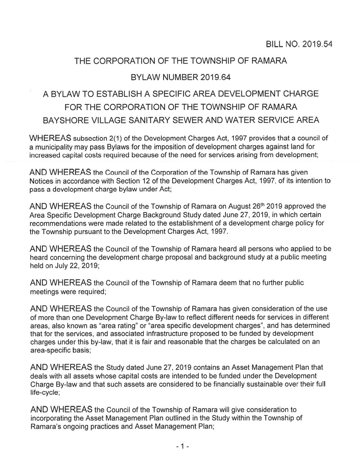# THE CORPORATION OF THE TOWNSHIP OF RAMARA

# BYLAW NUMBER 2019.64

# A BYLAW TO ESTABLISH A SPECIFIC AREA DEVELOPMENT CHARGE FOR THE CORPORATION OF THE TOWNSHIP OF RAMARA BAYSHORE VILLAGE SANITARY SEWER AND WATER SERVICE AREA

WHEREAS subsection 2(1) of the Development Charges Act, 1997 provides that a council of <sup>a</sup> municipality may pass Bylaws for the imposition of development charges against land for increased capital costs required because of the need for services arising from development;

AND WHEREAS the Council of the Corporation of the Township of Ramara has given Notices in accordance with Section 12 of the Development Charges Act, 1997, of its intention to pass <sup>a</sup> development charge bylaw under Act;

AND WHEREAS the Council of the Township of Ramara on August 26<sup>th</sup> 2019 approved the Area Specific Development Charge Background Study dated June 27, 2019, in which certain recommendations were made related to the establishment of <sup>a</sup> development charge policy for the Township pursuan<sup>t</sup> to the Development Charges Act, I 997.

AND WHEREAS the Council of the Township of Ramara heard all persons who applied to be heard concerning the development charge proposal and background study at <sup>a</sup> public meeting held on July 22, 2019;

AND WHEREAS the Council of the Township of Ramara deem that no further public meetings were required;

AND WHEREAS the Council of the Township of Ramara has given consideration of the use of more than one Development Charge By-law to reflect different needs for services in different areas, also known as "area rating" or "area specific development charges", and has determined that for the services, and associated infrastructure proposed to be funded by development charges under this by-law, that it is fair and reasonable that the charges be calculated on an area-specific basis;

AND WHEREAS the Study dated June 27, 2019 contains an Asset Management Plan that deals with all assets whose capital costs are intended to be funded under the Development Charge By-law and that such assets are considered to be financially sustainable over their full life-cycle;

AND WHEREAS the Council of the Township of Ramara will give consideration to incorporating the Asset Management Plan outlined in the Study within the Township of Ramara's ongoing practices and Asset Management Plan;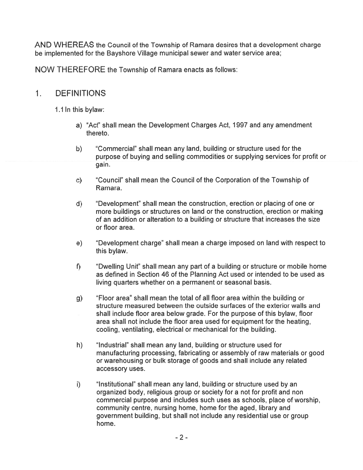AND WHEREAS the Council of the Township of Ramara desires that <sup>a</sup> development charge be implemented for the Bayshore Village municipal sewer and water service area;

NOW THEREFORE the Township of Ramara enacts as follows:

#### 1. DEFINITIONS

1.1 In this bylaw:

- a) "Act" shall mean the Development Charges Act, I 997 and any amendment thereto.
- b) 'Commercial" shall mean any land, building or structure used for the purpose of buying and selling commodities or supplying services for profit or gain.
- c) "Council" shall mean the Council of the Corporation of the Township of Ramara.
- d) 'Development" shall mean the construction, erection or placing of one or more buildings or structures on land or the construction, erection or making of an addition or alteration to <sup>a</sup> building or structure that increases the size or floor area.
- e) "Development charge" shall mean <sup>a</sup> charge imposed on land with respec<sup>t</sup> to this bylaw.
- f) "Dwelling Unit" shall mean any part of a building or structure or mobile home as defined in Section 46 of the Planning Act used or intended to be used as living quarters whether on <sup>a</sup> permanen<sup>t</sup> or seasonal basis.
- g) "Floor area" shall mean the total of all floor area within the building or structure measured between the outside surfaces of the exterior walls and shall include floor area below grade. For the purpose of this bylaw, floor area shall not include the floor area used for equipment for the heating, cooling, ventilating, electrical or mechanical for the building.
- h) "Industrial" shall mean any land, building or structure used for manufacturing processing, fabricating or assembly of raw materials or good or warehousing or bulk storage of goods and shall include any related accessory uses.
- i) finstitutional" shall mean any land, building or structure used by an organized body, religious group or society for <sup>a</sup> not for profit and non commercial purpose and includes such uses as schools, place of worship, community centre, nursing home, home for the aged, library and governmen<sup>t</sup> building, but shall not include any residential use or group home.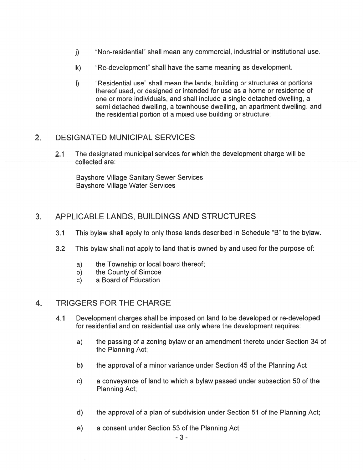- j) "Non-residential" shall mean any commercial, industrial or institutional use.
- k) "Re-development" shall have the same meaning as development.
- I) "Residential use" shall mean the lands, building or structures or portions thereof used, or designed or intended for use as <sup>a</sup> home or residence of one or more individuals, and shall include <sup>a</sup> single detached dwelling, <sup>a</sup> semi detached dwelling, <sup>a</sup> townhouse dwelling, an apartment dwelling, and the residential portion of <sup>a</sup> mixed use building or structure;

#### 2. DESIGNATED MUNICIPAL SERVICES

2.1 The designated municipal services for which the development charge will be collected are:

Bayshore Village Sanitary Sewer Services Bayshore Village Water Services

### 3. APPLICABLE LANDS, BUILDINGS AND STRUCTURES

- 3.1 This bylaw shall apply to only those lands described in Schedule "B" to the bylaw.
- 3.2 This bylaw shall not apply to land that is owned by and used for the purpose of:
	- a) the Township or local board thereof;
	- b) the County of Simcoe
	- c) <sup>a</sup> Board of Education

#### 4. TRIGGERS FOR THE CHARGE

- 4.1 Development charges shall be imposed on land to be developed or re-developed for residential and on residential use only where the development requires:
	- a) the passing of <sup>a</sup> zoning bylaw or an amendment thereto under Section 34 of the Planning Act;
	- b) the approval of <sup>a</sup> minor variance under Section 45 of the Planning Act
	- c) <sup>a</sup> conveyance of land to which <sup>a</sup> bylaw passed under subsection 50 of the Planning Act;
	- d) the approval of <sup>a</sup> plan of subdivision under Section 51 of the Planning Act;
	- e) <sup>a</sup> consent under Section 53 of the Planning Act;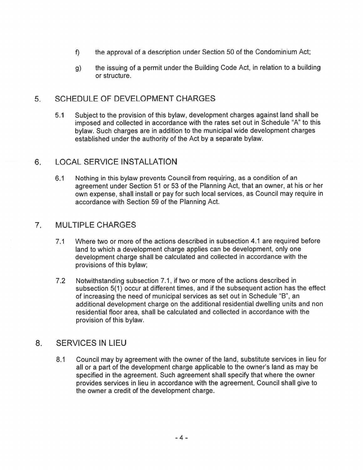- f) the approval of a description under Section 50 of the Condominium Act;
- g) the issuing of <sup>a</sup> permit under the Building Code Act, in relation to <sup>a</sup> building or structure.

### 5. SCHEDULE OF DEVELOPMENT CHARGES

5.1 Subject to the provision of this bylaw, development charges against land shall be imposed and collected in accordance with the rates set out in Schedule "A" to this bylaw. Such charges are in addition to the municipal wide development charges established under the authority of the Act by <sup>a</sup> separate bylaw.

#### 6. LOCAL SERVICE INSTALLATION

6.1 Nothing in this bylaw prevents Council from requiring, as <sup>a</sup> condition of an agreemen<sup>t</sup> under Section 51 or 53 of the Planning Act, that an owner, at his or her own expense, shall install or pay for such local services, as Council may require in accordance with Section 59 of the Planning Act.

#### 7. MULTIPLE CHARGES

- 7.1 Where two or more ofthe actions described in subsection 4.1 are required before land to which <sup>a</sup> development charge applies can be development, only one development charge shall be calculated and collected in accordance with the provisions of this bylaw;
- 7.2 Notwithstanding subsection 7.1 , if two or more of the actions described in subsection 5(1) occur at different times, and if the subsequent action has the effect of increasing the need of municipal services as set out in Schedule "B", an additional development charge on the additional residential dwelling units and non residential floor area, shall be calculated and collected in accordance with the provision of this bylaw.

#### 8. SERVICES IN LIEU

8.1 Council may by agreemen<sup>t</sup> with the owner of the land, substitute services in lieu for all or <sup>a</sup> par<sup>t</sup> of the development charge applicable to the owner's land as may be specified in the agreement. Such agreemen<sup>t</sup> shall specify that where the owner provides services in lieu in accordance with the agreement, Council shall give to the owner <sup>a</sup> credit of the development charge.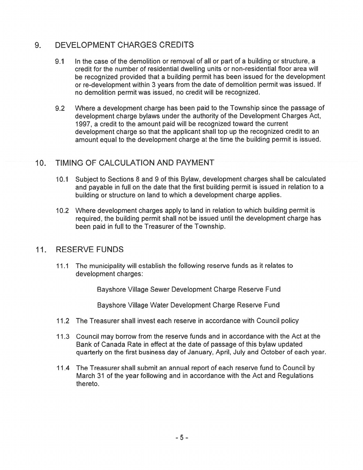# 9. DEVELOPMENT CHARGES CREDITS

- 9.1 In the case of the demolition or removal of all or par<sup>t</sup> of <sup>a</sup> building or structure, <sup>a</sup> credit for the number of residential dwelling units or non-residential floor area will be recognized provided that <sup>a</sup> building permit has been issued for the development or re-development within 3 years from the date of demolition permit was issued. If no demolition permit was issued, no credit will be recognized.
- 9.2 Where <sup>a</sup> development charge has been paid to the Township since the passage of development charge bylaws under the authority of the Development Charges Act, 1997, a credit to the amount paid will be recognized toward the current development charge so that the applicant shall top up the recognized credit to an amount equal to the development charge at the time the building permit is issued.

#### 10. TIMING OF CALCULATION AND PAYMENT

- 10.1 Subject to Sections 8 and 9 of this Bylaw, development charges shall be calculated and payable in full on the date that the first building permit is issued in relation to <sup>a</sup> building or structure on land to which <sup>a</sup> development charge applies.
- 10.2 Where development charges apply to land in relation to which building permit is required, the building permit shall not be issued until the development charge has been paid in full to the Treasurer of the Township.

#### 11. RESERVE FUNDS

11.1 The municipality will establish the following reserve funds as it relates to development charges:

Bayshore Village Sewer Development Charge Reserve Fund

Bayshore Village Water Development Charge Reserve Fund

- 11.2 The Treasurer shall invest each reserve in accordance with Council policy
- 11.3 Council may borrow from the reserve funds and in accordance with the Act at the Bank of Canada Rate in effect at the date of passage of this bylaw updated quarterly on the first business day of January, April, July and October of each year.
- 11.4 The Treasurer shall submit an annual report of each reserve fund to Council by March 31 of the year following and in accordance with the Act and Regulations thereto.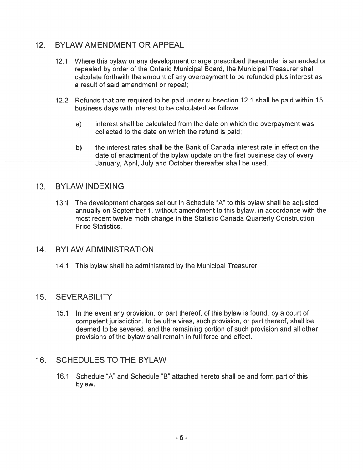# 12. BYLAW AMENDMENT OR APPEAL

- 12.1 Where this bylaw or any development charge prescribed thereunder is amended or repealed by order of the Ontario Municipal Board, the Municipal Treasurer shall calculate forthwith the amount of any overpaymen<sup>t</sup> to be refunded plus interest as <sup>a</sup> result of said amendment or repeal;
- 12.2 Refunds that are required to be paid under subsection 12.1 shall be paid within 15 business days with interest to be calculated as follows:
	- a) interest shall be calculated from the date on which the overpaymen<sup>t</sup> was collected to the date on which the refund is paid;
	- b) the interest rates shall be the Bank of Canada interest rate in effect on the date of enactment of the bylaw update on the first business day of every January, April, July and October thereafter shall be used.

#### 13. BYLAW INDEXING

13.1 The development charges set out in Schedule "A" to this bylaw shall be adjusted annually on September 1 , without amendment to this bylaw, in accordance with the most recent twelve moth change in the Statistic Canada Quarterly Construction Price Statistics.

#### 14. BYLAW ADMINISTRATION

14.1 This bylaw shall be administered by the Municipal Treasurer.

#### 15. SEVERABILITY

15.1 In the event any provision, or par<sup>t</sup> thereof, of this bylaw is found, by <sup>a</sup> court of competent jurisdiction, to be ultra vires, such provision, or par<sup>t</sup> thereof, shall be deemed to be severed, and the remaining portion of such provision and all other provisions of the bylaw shall remain in full force and effect.

#### 16. SCHEDULES TO THE BYLAW

16.1 Schedule "A" and Schedule "B" attached hereto shall be and form part of this bylaw.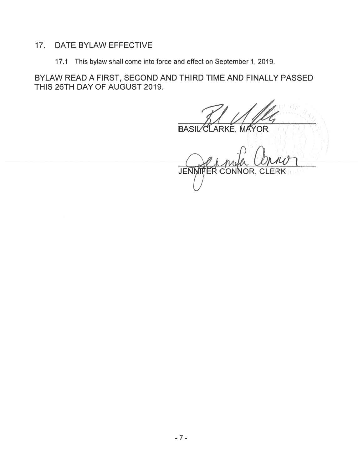#### $17.$ DATE BYLAW EFFECTIVE

17.1 This bylaw shall come into force and effect on September 1, 2019.

BYLAW READ A FIRST, SECOND AND THIRD TIME AND FINALLY PASSED THIS 26TH DAY OF AUGUST 2019.

**BASIL** CLARKE, MAYOR

ER CONNOR, CLERK **JENNIF**  $101 -$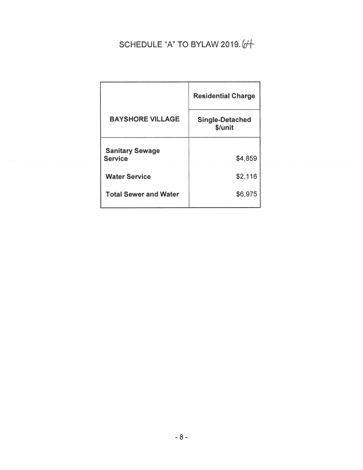# SCHEDULE "A" TO BYLAW 2019. 64

|                                          | <b>Residential Charge</b>         |
|------------------------------------------|-----------------------------------|
| <b>BAYSHORE VILLAGE</b>                  | <b>Single-Detached</b><br>\$/unit |
| <b>Sanitary Sewage</b><br><b>Service</b> | \$4,859                           |
| <b>Water Service</b>                     | \$2,116                           |
| <b>Total Sewer and Water</b>             | \$6,975                           |